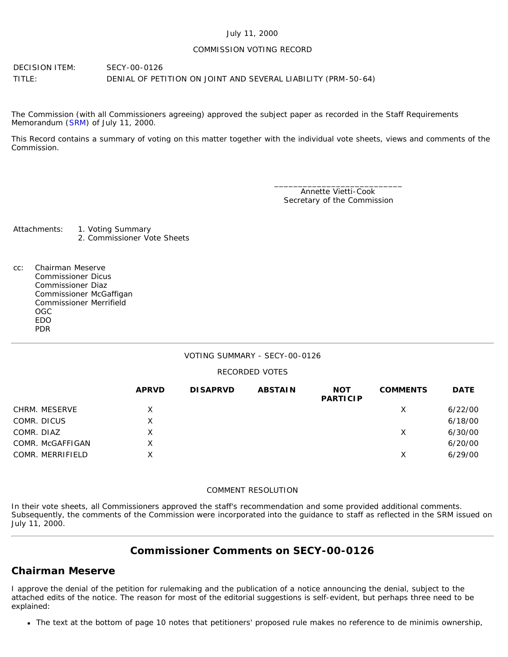#### July 11, 2000

#### COMMISSION VOTING RECORD

DECISION ITEM: SECY-00-0126 TITLE: DENIAL OF PETITION ON JOINT AND SEVERAL LIABILITY (PRM-50-64)

The Commission (with all Commissioners agreeing) approved the subject paper as recorded in the Staff Requirements Memorandum ([SRM\)](http://www.nrc.gov/reading-rm/doc-collections/commission/srm/2000/2000-0126srm.html) of July 11, 2000.

This Record contains a summary of voting on this matter together with the individual vote sheets, views and comments of the Commission.

> \_\_\_\_\_\_\_\_\_\_\_\_\_\_\_\_\_\_\_\_\_\_\_\_\_\_\_ Annette Vietti-Cook Secretary of the Commission

Attachments: 1. Voting Summary 2. Commissioner Vote Sheets

cc: Chairman Meserve Commissioner Dicus Commissioner Diaz Commissioner McGaffigan Commissioner Merrifield OGC EDO PDR

### VOTING SUMMARY - SECY-00-0126

### RECORDED VOTES

|                  | <b>APRVD</b> | <b>DISAPRVD</b> | <b>ABSTAIN</b> | <b>NOT</b><br><b>PARTICIP</b> | <b>COMMENTS</b> | <b>DATE</b> |
|------------------|--------------|-----------------|----------------|-------------------------------|-----------------|-------------|
| CHRM. MESERVE    | X            |                 |                |                               | X               | 6/22/00     |
| COMR. DICUS      | X            |                 |                |                               |                 | 6/18/00     |
| COMR. DIAZ       | X            |                 |                |                               | Х               | 6/30/00     |
| COMR. McGAFFIGAN | X            |                 |                |                               |                 | 6/20/00     |
| COMR. MERRIFIELD | Χ            |                 |                |                               | X               | 6/29/00     |

#### COMMENT RESOLUTION

In their vote sheets, all Commissioners approved the staff's recommendation and some provided additional comments. Subsequently, the comments of the Commission were incorporated into the guidance to staff as reflected in the SRM issued on July 11, 2000.

# **Commissioner Comments on SECY-00-0126**

# **Chairman Meserve**

I approve the denial of the petition for rulemaking and the publication of a notice announcing the denial, subject to the attached edits of the notice. The reason for most of the editorial suggestions is self-evident, but perhaps three need to be explained:

The text at the bottom of page 10 notes that petitioners' proposed rule makes no reference to de minimis ownership,